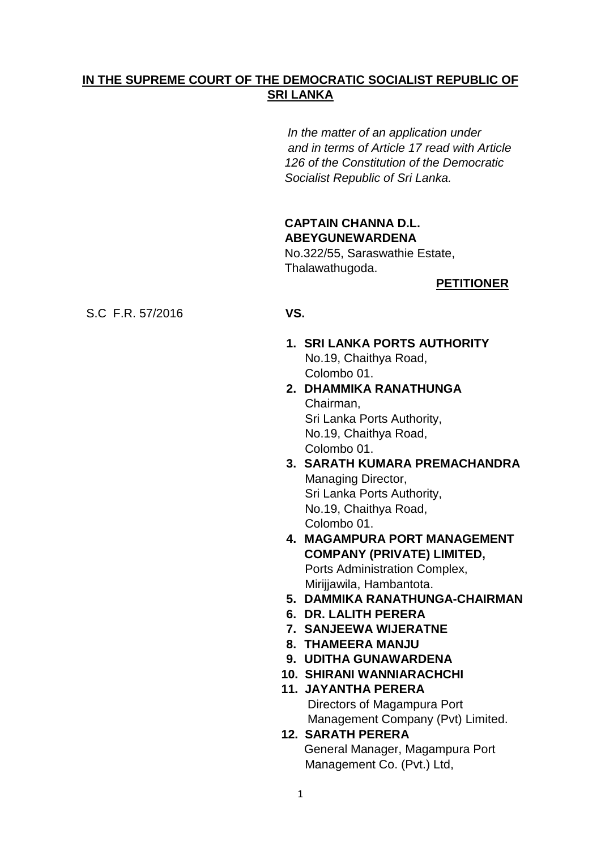# **IN THE SUPREME COURT OF THE DEMOCRATIC SOCIALIST REPUBLIC OF SRI LANKA**

 *In the matter of an application under and in terms of Article 17 read with Article 126 of the Constitution of the Democratic Socialist Republic of Sri Lanka.*

# **CAPTAIN CHANNA D.L. ABEYGUNEWARDENA**

No.322/55, Saraswathie Estate, Thalawathugoda.

# **PETITIONER**

### S.C F.R. 57/2016 **VS.**

- **1. SRI LANKA PORTS AUTHORITY** No.19, Chaithya Road, Colombo 01.
- **2. DHAMMIKA RANATHUNGA** Chairman, Sri Lanka Ports Authority, No.19, Chaithya Road, Colombo 01.
- **3. SARATH KUMARA PREMACHANDRA** Managing Director, Sri Lanka Ports Authority, No.19, Chaithya Road, Colombo 01.
- **4. MAGAMPURA PORT MANAGEMENT COMPANY (PRIVATE) LIMITED, Ports Administration Complex,** Mirijjawila, Hambantota.
- **5. DAMMIKA RANATHUNGA-CHAIRMAN**
- **6. DR. LALITH PERERA**
- **7. SANJEEWA WIJERATNE**
- **8. THAMEERA MANJU**
- **9. UDITHA GUNAWARDENA**
- **10. SHIRANI WANNIARACHCHI**
- **11. JAYANTHA PERERA** Directors of Magampura Port Management Company (Pvt) Limited.
- **12. SARATH PERERA** General Manager, Magampura Port Management Co. (Pvt.) Ltd,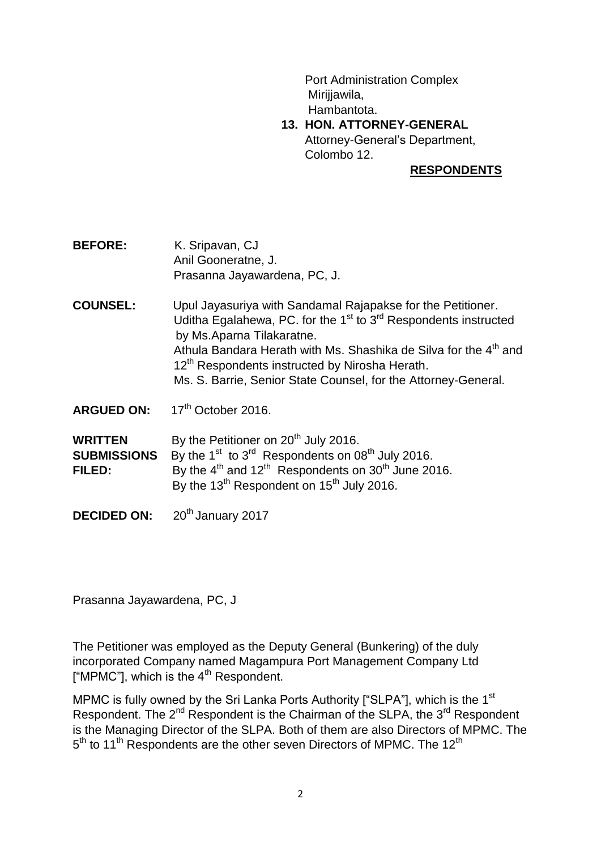Port Administration Complex Mirijjawila, Hambantota.

 **13. HON. ATTORNEY-GENERAL** Attorney-General"s Department, Colombo 12.

#### **RESPONDENTS**

- **BEFORE:** K. Sripavan, CJ Anil Gooneratne, J. Prasanna Jayawardena, PC, J.
- **COUNSEL:** Upul Jayasuriya with Sandamal Rajapakse for the Petitioner. Uditha Egalahewa, PC. for the  $1<sup>st</sup>$  to  $3<sup>rd</sup>$  Respondents instructed by Ms.Aparna Tilakaratne. Athula Bandara Herath with Ms. Shashika de Silva for the 4<sup>th</sup> and 12<sup>th</sup> Respondents instructed by Nirosha Herath. Ms. S. Barrie, Senior State Counsel, for the Attorney-General.
- ARGUED ON: 17<sup>th</sup> October 2016.

**WRITTEN** By the Petitioner on 20<sup>th</sup> July 2016. **SUBMISSIONS** By the 1<sup>st</sup> to 3<sup>rd</sup> Respondents on 08<sup>th</sup> July 2016. **FILED:** By the  $4<sup>th</sup>$  and  $12<sup>th</sup>$  Respondents on  $30<sup>th</sup>$  June 2016. By the  $13^{th}$  Respondent on  $15^{th}$  July 2016.

**DECIDED ON:** 20<sup>th</sup> January 2017

Prasanna Jayawardena, PC, J

The Petitioner was employed as the Deputy General (Bunkering) of the duly incorporated Company named Magampura Port Management Company Ltd ["MPMC"], which is the  $4<sup>th</sup>$  Respondent.

MPMC is fully owned by the Sri Lanka Ports Authority ["SLPA"], which is the 1<sup>st</sup> Respondent. The 2<sup>nd</sup> Respondent is the Chairman of the SLPA, the 3<sup>rd</sup> Respondent is the Managing Director of the SLPA. Both of them are also Directors of MPMC. The 5<sup>th</sup> to 11<sup>th</sup> Respondents are the other seven Directors of MPMC. The 12<sup>th</sup>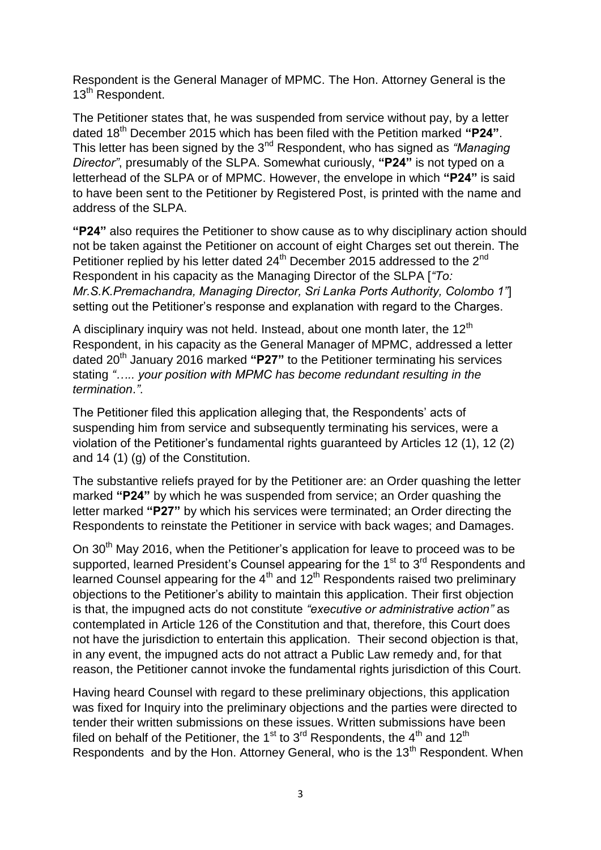Respondent is the General Manager of MPMC. The Hon. Attorney General is the 13<sup>th</sup> Respondent.

The Petitioner states that, he was suspended from service without pay, by a letter dated 18th December 2015 which has been filed with the Petition marked **"P24"**. This letter has been signed by the 3nd Respondent, who has signed as *"Managing Director"*, presumably of the SLPA. Somewhat curiously, **"P24"** is not typed on a letterhead of the SLPA or of MPMC. However, the envelope in which **"P24"** is said to have been sent to the Petitioner by Registered Post, is printed with the name and address of the SLPA.

**"P24"** also requires the Petitioner to show cause as to why disciplinary action should not be taken against the Petitioner on account of eight Charges set out therein. The Petitioner replied by his letter dated 24<sup>th</sup> December 2015 addressed to the 2<sup>nd</sup> Respondent in his capacity as the Managing Director of the SLPA [*"To: Mr.S.K.Premachandra, Managing Director, Sri Lanka Ports Authority, Colombo 1"*] setting out the Petitioner's response and explanation with regard to the Charges.

A disciplinary inquiry was not held. Instead, about one month later, the  $12<sup>th</sup>$ Respondent, in his capacity as the General Manager of MPMC, addressed a letter dated 20th January 2016 marked **"P27"** to the Petitioner terminating his services stating *"….. your position with MPMC has become redundant resulting in the termination*.*"*.

The Petitioner filed this application alleging that, the Respondents' acts of suspending him from service and subsequently terminating his services, were a violation of the Petitioner"s fundamental rights guaranteed by Articles 12 (1), 12 (2) and 14 (1) (g) of the Constitution.

The substantive reliefs prayed for by the Petitioner are: an Order quashing the letter marked **"P24"** by which he was suspended from service; an Order quashing the letter marked **"P27"** by which his services were terminated; an Order directing the Respondents to reinstate the Petitioner in service with back wages; and Damages.

On 30<sup>th</sup> Mav 2016, when the Petitioner's application for leave to proceed was to be supported, learned President's Counsel appearing for the 1<sup>st</sup> to 3<sup>rd</sup> Respondents and learned Counsel appearing for the  $4<sup>th</sup>$  and  $12<sup>th</sup>$  Respondents raised two preliminary objections to the Petitioner"s ability to maintain this application. Their first objection is that, the impugned acts do not constitute *"executive or administrative action"* as contemplated in Article 126 of the Constitution and that, therefore, this Court does not have the jurisdiction to entertain this application. Their second objection is that, in any event, the impugned acts do not attract a Public Law remedy and, for that reason, the Petitioner cannot invoke the fundamental rights jurisdiction of this Court.

Having heard Counsel with regard to these preliminary objections, this application was fixed for Inquiry into the preliminary objections and the parties were directed to tender their written submissions on these issues. Written submissions have been filed on behalf of the Petitioner, the 1<sup>st</sup> to 3<sup>rd</sup> Respondents, the 4<sup>th</sup> and 12<sup>th</sup> Respondents and by the Hon. Attorney General, who is the 13<sup>th</sup> Respondent. When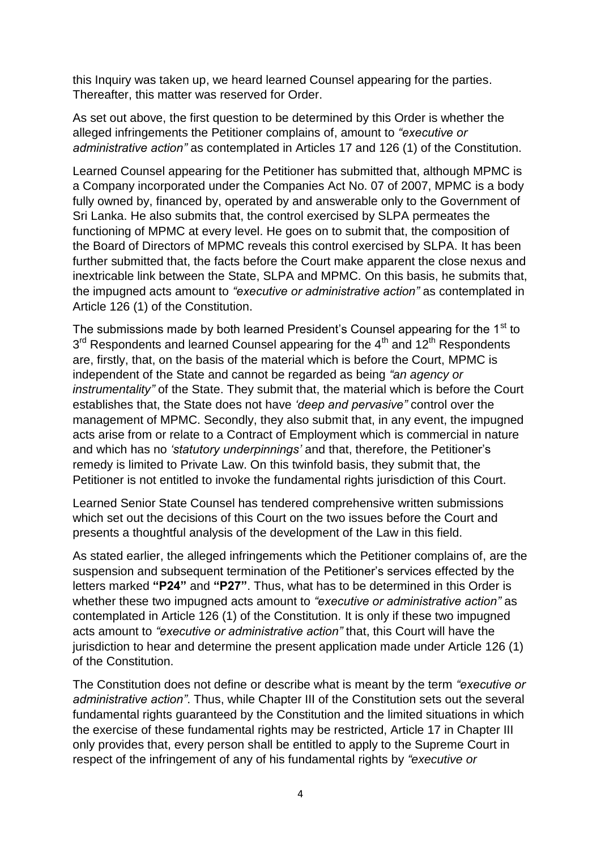this Inquiry was taken up, we heard learned Counsel appearing for the parties. Thereafter, this matter was reserved for Order.

As set out above, the first question to be determined by this Order is whether the alleged infringements the Petitioner complains of, amount to *"executive or administrative action"* as contemplated in Articles 17 and 126 (1) of the Constitution.

Learned Counsel appearing for the Petitioner has submitted that, although MPMC is a Company incorporated under the Companies Act No. 07 of 2007, MPMC is a body fully owned by, financed by, operated by and answerable only to the Government of Sri Lanka. He also submits that, the control exercised by SLPA permeates the functioning of MPMC at every level. He goes on to submit that, the composition of the Board of Directors of MPMC reveals this control exercised by SLPA. It has been further submitted that, the facts before the Court make apparent the close nexus and inextricable link between the State, SLPA and MPMC. On this basis, he submits that, the impugned acts amount to *"executive or administrative action"* as contemplated in Article 126 (1) of the Constitution.

The submissions made by both learned President's Counsel appearing for the 1<sup>st</sup> to  $3<sup>rd</sup>$  Respondents and learned Counsel appearing for the 4<sup>th</sup> and 12<sup>th</sup> Respondents are, firstly, that, on the basis of the material which is before the Court, MPMC is independent of the State and cannot be regarded as being *"an agency or instrumentality"* of the State. They submit that, the material which is before the Court establishes that, the State does not have *"deep and pervasive"* control over the management of MPMC. Secondly, they also submit that, in any event, the impugned acts arise from or relate to a Contract of Employment which is commercial in nature and which has no *"statutory underpinnings"* and that, therefore, the Petitioner"s remedy is limited to Private Law. On this twinfold basis, they submit that, the Petitioner is not entitled to invoke the fundamental rights jurisdiction of this Court.

Learned Senior State Counsel has tendered comprehensive written submissions which set out the decisions of this Court on the two issues before the Court and presents a thoughtful analysis of the development of the Law in this field.

As stated earlier, the alleged infringements which the Petitioner complains of, are the suspension and subsequent termination of the Petitioner"s services effected by the letters marked **"P24"** and **"P27"**. Thus, what has to be determined in this Order is whether these two impugned acts amount to *"executive or administrative action"* as contemplated in Article 126 (1) of the Constitution. It is only if these two impugned acts amount to *"executive or administrative action"* that, this Court will have the jurisdiction to hear and determine the present application made under Article 126 (1) of the Constitution.

The Constitution does not define or describe what is meant by the term *"executive or administrative action"*. Thus, while Chapter III of the Constitution sets out the several fundamental rights guaranteed by the Constitution and the limited situations in which the exercise of these fundamental rights may be restricted, Article 17 in Chapter III only provides that, every person shall be entitled to apply to the Supreme Court in respect of the infringement of any of his fundamental rights by *"executive or*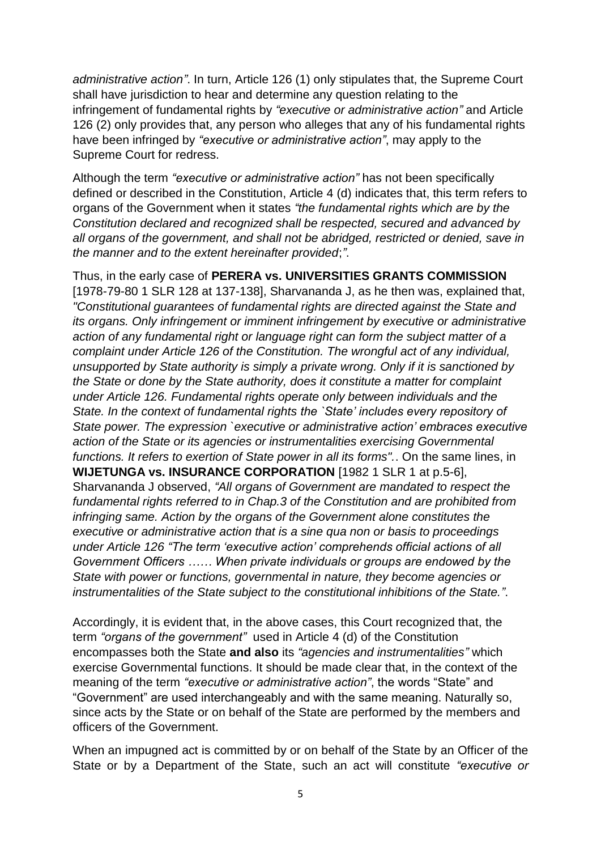*administrative action"*. In turn, Article 126 (1) only stipulates that, the Supreme Court shall have jurisdiction to hear and determine any question relating to the infringement of fundamental rights by *"executive or administrative action"* and Article 126 (2) only provides that, any person who alleges that any of his fundamental rights have been infringed by *"executive or administrative action"*, may apply to the Supreme Court for redress.

Although the term *"executive or administrative action"* has not been specifically defined or described in the Constitution, Article 4 (d) indicates that, this term refers to organs of the Government when it states *"the fundamental rights which are by the Constitution declared and recognized shall be respected, secured and advanced by all organs of the government, and shall not be abridged, restricted or denied, save in the manner and to the extent hereinafter provided*;*"*.

Thus, in the early case of **PERERA vs. UNIVERSITIES GRANTS COMMISSION**  [1978-79-80 1 SLR 128 at 137-138], Sharvananda J, as he then was, explained that, *"Constitutional guarantees of fundamental rights are directed against the State and its organs. Only infringement or imminent infringement by executive or administrative action of any fundamental right or language right can form the subject matter of a complaint under Article 126 of the Constitution. The wrongful act of any individual, unsupported by State authority is simply a private wrong. Only if it is sanctioned by the State or done by the State authority, does it constitute a matter for complaint under Article 126. Fundamental rights operate only between individuals and the State. In the context of fundamental rights the `State" includes every repository of State power. The expression `executive or administrative action" embraces executive action of the State or its agencies or instrumentalities exercising Governmental functions. It refers to exertion of State power in all its forms".*. On the same lines, in **WIJETUNGA vs. INSURANCE CORPORATION** [1982 1 SLR 1 at p.5-6], Sharvananda J observed, *"All organs of Government are mandated to respect the fundamental rights referred to in Chap.3 of the Constitution and are prohibited from infringing same. Action by the organs of the Government alone constitutes the executive or administrative action that is a sine qua non or basis to proceedings under Article 126 "The term "executive action" comprehends official actions of all Government Officers …… When private individuals or groups are endowed by the State with power or functions, governmental in nature, they become agencies or instrumentalities of the State subject to the constitutional inhibitions of the State."*.

Accordingly, it is evident that, in the above cases, this Court recognized that, the term *"organs of the government"* used in Article 4 (d) of the Constitution encompasses both the State **and also** its *"agencies and instrumentalities"* which exercise Governmental functions. It should be made clear that, in the context of the meaning of the term *"executive or administrative action"*, the words "State" and "Government" are used interchangeably and with the same meaning. Naturally so, since acts by the State or on behalf of the State are performed by the members and officers of the Government.

When an impugned act is committed by or on behalf of the State by an Officer of the State or by a Department of the State, such an act will constitute *"executive or*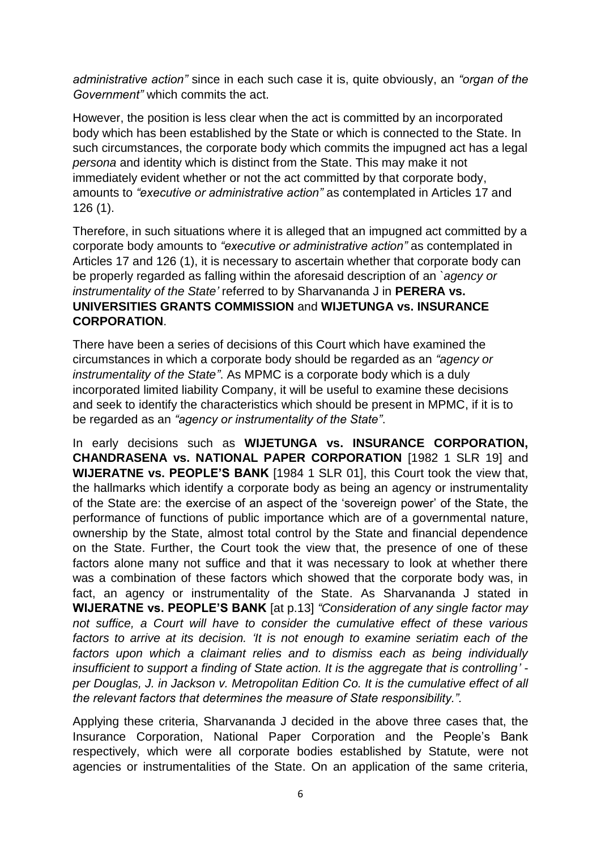*administrative action"* since in each such case it is, quite obviously, an *"organ of the Government"* which commits the act.

However, the position is less clear when the act is committed by an incorporated body which has been established by the State or which is connected to the State. In such circumstances, the corporate body which commits the impugned act has a legal *persona* and identity which is distinct from the State. This may make it not immediately evident whether or not the act committed by that corporate body, amounts to *"executive or administrative action"* as contemplated in Articles 17 and 126 (1).

Therefore, in such situations where it is alleged that an impugned act committed by a corporate body amounts to *"executive or administrative action"* as contemplated in Articles 17 and 126 (1), it is necessary to ascertain whether that corporate body can be properly regarded as falling within the aforesaid description of an *`agency or instrumentality of the State"* referred to by Sharvananda J in **PERERA vs. UNIVERSITIES GRANTS COMMISSION** and **WIJETUNGA vs. INSURANCE CORPORATION**.

There have been a series of decisions of this Court which have examined the circumstances in which a corporate body should be regarded as an *"agency or instrumentality of the State"*. As MPMC is a corporate body which is a duly incorporated limited liability Company, it will be useful to examine these decisions and seek to identify the characteristics which should be present in MPMC, if it is to be regarded as an *"agency or instrumentality of the State"*.

In early decisions such as **WIJETUNGA vs. INSURANCE CORPORATION, CHANDRASENA vs. NATIONAL PAPER CORPORATION** [1982 1 SLR 19] and **WIJERATNE vs. PEOPLE'S BANK** [1984 1 SLR 01], this Court took the view that, the hallmarks which identify a corporate body as being an agency or instrumentality of the State are: the exercise of an aspect of the "sovereign power" of the State, the performance of functions of public importance which are of a governmental nature, ownership by the State, almost total control by the State and financial dependence on the State. Further, the Court took the view that, the presence of one of these factors alone many not suffice and that it was necessary to look at whether there was a combination of these factors which showed that the corporate body was, in fact, an agency or instrumentality of the State. As Sharvananda J stated in **WIJERATNE vs. PEOPLE'S BANK** [at p.13] *"Consideration of any single factor may not suffice, a Court will have to consider the cumulative effect of these various factors to arrive at its decision. "It is not enough to examine seriatim each of the factors upon which a claimant relies and to dismiss each as being individually insufficient to support a finding of State action. It is the aggregate that is controlling" per Douglas, J. in Jackson v. Metropolitan Edition Co. It is the cumulative effect of all the relevant factors that determines the measure of State responsibility.".*

Applying these criteria, Sharvananda J decided in the above three cases that, the Insurance Corporation, National Paper Corporation and the People"s Bank respectively, which were all corporate bodies established by Statute, were not agencies or instrumentalities of the State. On an application of the same criteria,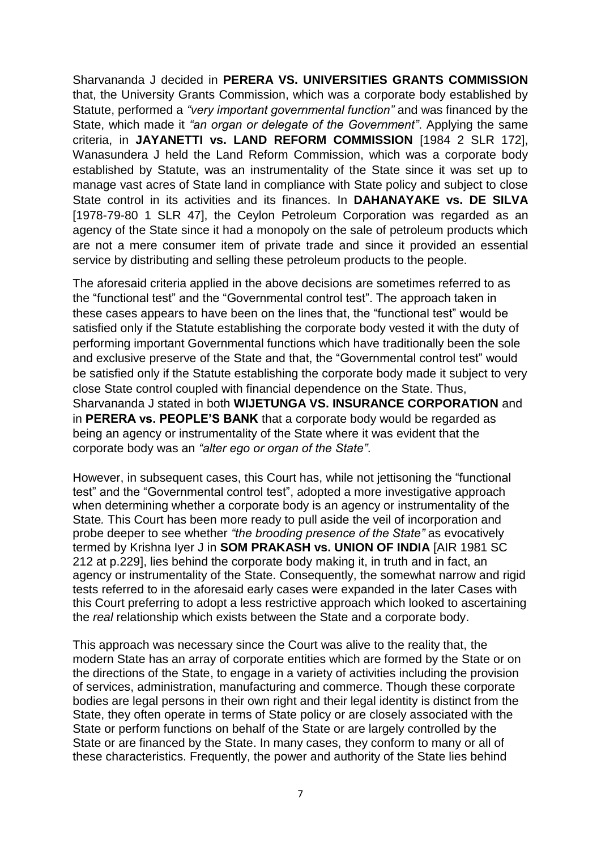Sharvananda J decided in **PERERA VS. UNIVERSITIES GRANTS COMMISSION** that, the University Grants Commission, which was a corporate body established by Statute, performed a *"very important governmental function"* and was financed by the State, which made it *"an organ or delegate of the Government"*. Applying the same criteria, in **JAYANETTI vs. LAND REFORM COMMISSION** [1984 2 SLR 172], Wanasundera J held the Land Reform Commission, which was a corporate body established by Statute, was an instrumentality of the State since it was set up to manage vast acres of State land in compliance with State policy and subject to close State control in its activities and its finances. In **DAHANAYAKE vs. DE SILVA** [1978-79-80 1 SLR 47], the Ceylon Petroleum Corporation was regarded as an agency of the State since it had a monopoly on the sale of petroleum products which are not a mere consumer item of private trade and since it provided an essential service by distributing and selling these petroleum products to the people.

The aforesaid criteria applied in the above decisions are sometimes referred to as the "functional test" and the "Governmental control test". The approach taken in these cases appears to have been on the lines that, the "functional test" would be satisfied only if the Statute establishing the corporate body vested it with the duty of performing important Governmental functions which have traditionally been the sole and exclusive preserve of the State and that, the "Governmental control test" would be satisfied only if the Statute establishing the corporate body made it subject to very close State control coupled with financial dependence on the State. Thus, Sharvananda J stated in both **WIJETUNGA VS. INSURANCE CORPORATION** and in **PERERA vs. PEOPLE'S BANK** that a corporate body would be regarded as being an agency or instrumentality of the State where it was evident that the corporate body was an *"alter ego or organ of the State"*.

However, in subsequent cases, this Court has, while not jettisoning the "functional test" and the "Governmental control test", adopted a more investigative approach when determining whether a corporate body is an agency or instrumentality of the State*.* This Court has been more ready to pull aside the veil of incorporation and probe deeper to see whether *"the brooding presence of the State"* as evocatively termed by Krishna Iyer J in **SOM PRAKASH vs. UNION OF INDIA** [AIR 1981 SC 212 at p.229], lies behind the corporate body making it, in truth and in fact, an agency or instrumentality of the State. Consequently, the somewhat narrow and rigid tests referred to in the aforesaid early cases were expanded in the later Cases with this Court preferring to adopt a less restrictive approach which looked to ascertaining the *real* relationship which exists between the State and a corporate body.

This approach was necessary since the Court was alive to the reality that, the modern State has an array of corporate entities which are formed by the State or on the directions of the State, to engage in a variety of activities including the provision of services, administration, manufacturing and commerce. Though these corporate bodies are legal persons in their own right and their legal identity is distinct from the State, they often operate in terms of State policy or are closely associated with the State or perform functions on behalf of the State or are largely controlled by the State or are financed by the State. In many cases, they conform to many or all of these characteristics. Frequently, the power and authority of the State lies behind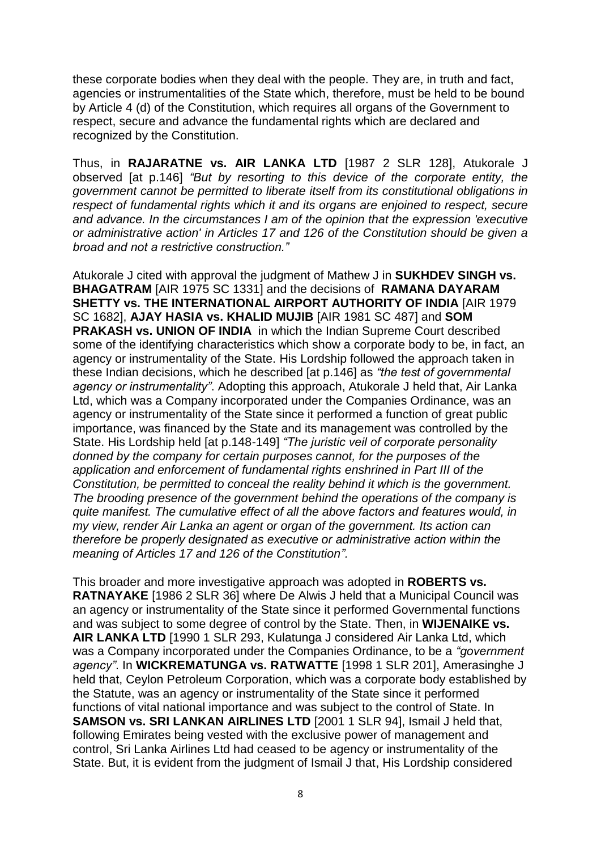these corporate bodies when they deal with the people. They are, in truth and fact, agencies or instrumentalities of the State which, therefore, must be held to be bound by Article 4 (d) of the Constitution, which requires all organs of the Government to respect, secure and advance the fundamental rights which are declared and recognized by the Constitution.

Thus, in **RAJARATNE vs. AIR LANKA LTD** [1987 2 SLR 128], Atukorale J observed [at p.146] *"But by resorting to this device of the corporate entity, the government cannot be permitted to liberate itself from its constitutional obligations in respect of fundamental rights which it and its organs are enjoined to respect, secure and advance. In the circumstances I am of the opinion that the expression 'executive or administrative action' in Articles 17 and 126 of the Constitution should be given a broad and not a restrictive construction."*

Atukorale J cited with approval the judgment of Mathew J in **SUKHDEV SINGH vs. BHAGATRAM** [AIR 1975 SC 1331] and the decisions of **RAMANA DAYARAM SHETTY vs. THE INTERNATIONAL AIRPORT AUTHORITY OF INDIA** [AIR 1979 SC 1682], **AJAY HASIA vs. KHALID MUJIB** [AIR 1981 SC 487] and **SOM PRAKASH vs. UNION OF INDIA** in which the Indian Supreme Court described some of the identifying characteristics which show a corporate body to be, in fact, an agency or instrumentality of the State. His Lordship followed the approach taken in these Indian decisions, which he described [at p.146] as *"the test of governmental agency or instrumentality"*. Adopting this approach, Atukorale J held that, Air Lanka Ltd, which was a Company incorporated under the Companies Ordinance, was an agency or instrumentality of the State since it performed a function of great public importance, was financed by the State and its management was controlled by the State. His Lordship held [at p.148-149] *"The juristic veil of corporate personality donned by the company for certain purposes cannot, for the purposes of the application and enforcement of fundamental rights enshrined in Part III of the Constitution, be permitted to conceal the reality behind it which is the government. The brooding presence of the government behind the operations of the company is quite manifest. The cumulative effect of all the above factors and features would, in my view, render Air Lanka an agent or organ of the government. Its action can therefore be properly designated as executive or administrative action within the meaning of Articles 17 and 126 of the Constitution".*

This broader and more investigative approach was adopted in **ROBERTS vs. RATNAYAKE** [1986 2 SLR 36] where De Alwis J held that a Municipal Council was an agency or instrumentality of the State since it performed Governmental functions and was subject to some degree of control by the State. Then, in **WIJENAIKE vs. AIR LANKA LTD** [1990 1 SLR 293, Kulatunga J considered Air Lanka Ltd, which was a Company incorporated under the Companies Ordinance, to be a *"government agency"*. In **WICKREMATUNGA vs. RATWATTE** [1998 1 SLR 201], Amerasinghe J held that, Ceylon Petroleum Corporation, which was a corporate body established by the Statute, was an agency or instrumentality of the State since it performed functions of vital national importance and was subject to the control of State. In **SAMSON vs. SRI LANKAN AIRLINES LTD** [2001 1 SLR 94], Ismail J held that, following Emirates being vested with the exclusive power of management and control, Sri Lanka Airlines Ltd had ceased to be agency or instrumentality of the State. But, it is evident from the judgment of Ismail J that, His Lordship considered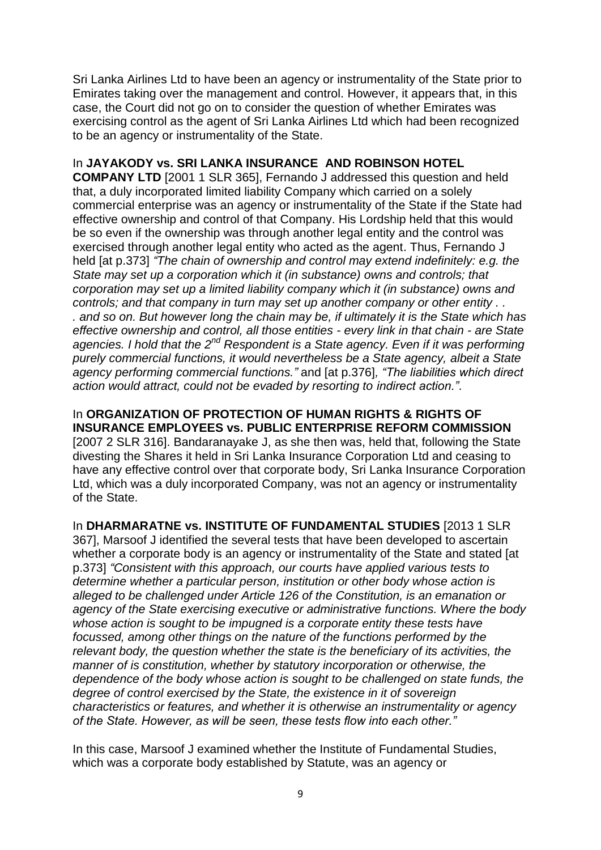Sri Lanka Airlines Ltd to have been an agency or instrumentality of the State prior to Emirates taking over the management and control. However, it appears that, in this case, the Court did not go on to consider the question of whether Emirates was exercising control as the agent of Sri Lanka Airlines Ltd which had been recognized to be an agency or instrumentality of the State.

## In **JAYAKODY vs. SRI LANKA INSURANCE AND ROBINSON HOTEL**

**COMPANY LTD** [2001 1 SLR 365], Fernando J addressed this question and held that, a duly incorporated limited liability Company which carried on a solely commercial enterprise was an agency or instrumentality of the State if the State had effective ownership and control of that Company. His Lordship held that this would be so even if the ownership was through another legal entity and the control was exercised through another legal entity who acted as the agent. Thus, Fernando J held [at p.373] *"The chain of ownership and control may extend indefinitely: e.g. the State may set up a corporation which it (in substance) owns and controls; that corporation may set up a limited liability company which it (in substance) owns and controls; and that company in turn may set up another company or other entity . . . and so on. But however long the chain may be, if ultimately it is the State which has effective ownership and control, all those entities - every link in that chain - are State agencies. I hold that the 2nd Respondent is a State agency. Even if it was performing purely commercial functions, it would nevertheless be a State agency, albeit a State agency performing commercial functions."* and [at p.376]*, "The liabilities which direct action would attract, could not be evaded by resorting to indirect action."*.

In **ORGANIZATION OF PROTECTION OF HUMAN RIGHTS & RIGHTS OF INSURANCE EMPLOYEES vs. PUBLIC ENTERPRISE REFORM COMMISSION** [2007 2 SLR 316]. Bandaranayake J, as she then was, held that, following the State divesting the Shares it held in Sri Lanka Insurance Corporation Ltd and ceasing to have any effective control over that corporate body, Sri Lanka Insurance Corporation Ltd, which was a duly incorporated Company, was not an agency or instrumentality of the State.

In **DHARMARATNE vs. INSTITUTE OF FUNDAMENTAL STUDIES** [2013 1 SLR 367], Marsoof J identified the several tests that have been developed to ascertain whether a corporate body is an agency or instrumentality of the State and stated [at p.373] *"Consistent with this approach, our courts have applied various tests to determine whether a particular person, institution or other body whose action is alleged to be challenged under Article 126 of the Constitution, is an emanation or agency of the State exercising executive or administrative functions. Where the body whose action is sought to be impugned is a corporate entity these tests have focussed, among other things on the nature of the functions performed by the relevant body, the question whether the state is the beneficiary of its activities, the manner of is constitution, whether by statutory incorporation or otherwise, the dependence of the body whose action is sought to be challenged on state funds, the degree of control exercised by the State, the existence in it of sovereign characteristics or features, and whether it is otherwise an instrumentality or agency of the State. However, as will be seen, these tests flow into each other."*

In this case, Marsoof J examined whether the Institute of Fundamental Studies, which was a corporate body established by Statute, was an agency or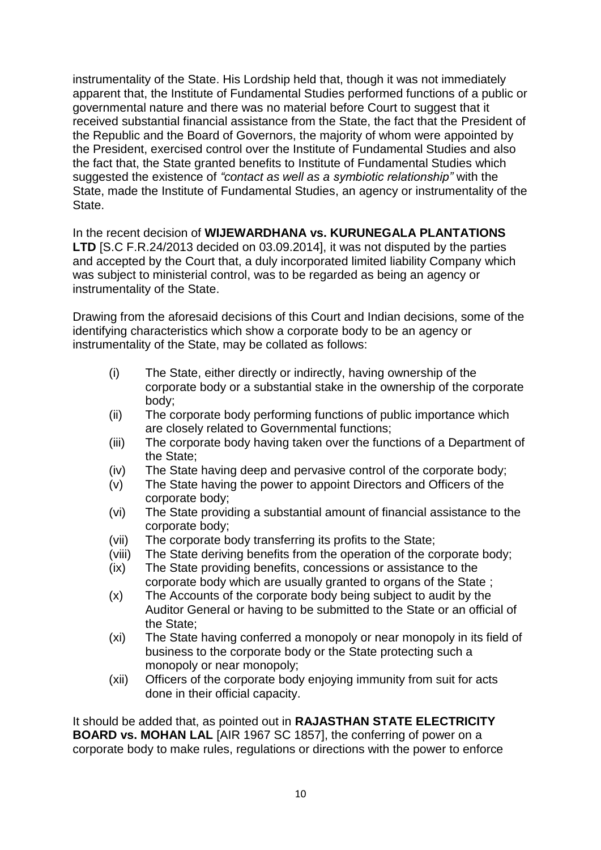instrumentality of the State. His Lordship held that, though it was not immediately apparent that, the Institute of Fundamental Studies performed functions of a public or governmental nature and there was no material before Court to suggest that it received substantial financial assistance from the State, the fact that the President of the Republic and the Board of Governors, the majority of whom were appointed by the President, exercised control over the Institute of Fundamental Studies and also the fact that, the State granted benefits to Institute of Fundamental Studies which suggested the existence of *"contact as well as a symbiotic relationship"* with the State, made the Institute of Fundamental Studies, an agency or instrumentality of the State.

In the recent decision of **WIJEWARDHANA vs. KURUNEGALA PLANTATIONS LTD** [S.C F.R.24/2013 decided on 03.09.2014], it was not disputed by the parties and accepted by the Court that, a duly incorporated limited liability Company which was subject to ministerial control, was to be regarded as being an agency or instrumentality of the State.

Drawing from the aforesaid decisions of this Court and Indian decisions, some of the identifying characteristics which show a corporate body to be an agency or instrumentality of the State, may be collated as follows:

- (i) The State, either directly or indirectly, having ownership of the corporate body or a substantial stake in the ownership of the corporate body;
- (ii) The corporate body performing functions of public importance which are closely related to Governmental functions;
- (iii) The corporate body having taken over the functions of a Department of the State;
- (iv) The State having deep and pervasive control of the corporate body;
- (v) The State having the power to appoint Directors and Officers of the corporate body;
- (vi) The State providing a substantial amount of financial assistance to the corporate body;
- (vii) The corporate body transferring its profits to the State;
- (viii) The State deriving benefits from the operation of the corporate body;
- (ix) The State providing benefits, concessions or assistance to the corporate body which are usually granted to organs of the State ;
- (x) The Accounts of the corporate body being subject to audit by the Auditor General or having to be submitted to the State or an official of the State;
- (xi) The State having conferred a monopoly or near monopoly in its field of business to the corporate body or the State protecting such a monopoly or near monopoly;
- (xii) Officers of the corporate body enjoying immunity from suit for acts done in their official capacity.

It should be added that, as pointed out in **RAJASTHAN STATE ELECTRICITY BOARD vs. MOHAN LAL** [AIR 1967 SC 1857], the conferring of power on a corporate body to make rules, regulations or directions with the power to enforce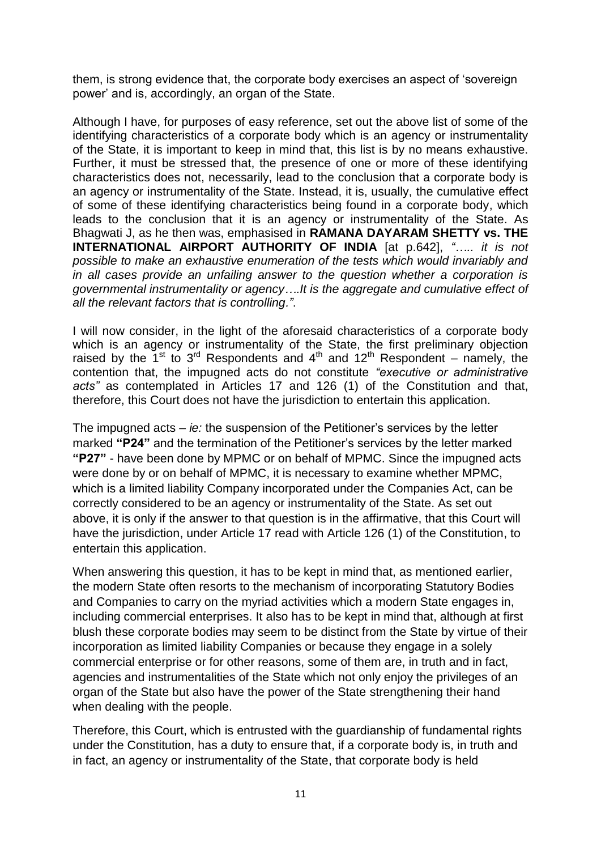them, is strong evidence that, the corporate body exercises an aspect of "sovereign power" and is, accordingly, an organ of the State.

Although I have, for purposes of easy reference, set out the above list of some of the identifying characteristics of a corporate body which is an agency or instrumentality of the State, it is important to keep in mind that, this list is by no means exhaustive. Further, it must be stressed that, the presence of one or more of these identifying characteristics does not, necessarily, lead to the conclusion that a corporate body is an agency or instrumentality of the State. Instead, it is, usually, the cumulative effect of some of these identifying characteristics being found in a corporate body, which leads to the conclusion that it is an agency or instrumentality of the State. As Bhagwati J, as he then was, emphasised in **RAMANA DAYARAM SHETTY vs. THE INTERNATIONAL AIRPORT AUTHORITY OF INDIA** [at p.642], *"….. it is not possible to make an exhaustive enumeration of the tests which would invariably and in all cases provide an unfailing answer to the question whether a corporation is governmental instrumentality or agency….It is the aggregate and cumulative effect of all the relevant factors that is controlling."*.

I will now consider, in the light of the aforesaid characteristics of a corporate body which is an agency or instrumentality of the State, the first preliminary objection raised by the  $1<sup>st</sup>$  to  $3<sup>rd</sup>$  Respondents and  $4<sup>th</sup>$  and  $12<sup>th</sup>$  Respondent – namely, the contention that, the impugned acts do not constitute *"executive or administrative acts"* as contemplated in Articles 17 and 126 (1) of the Constitution and that, therefore, this Court does not have the jurisdiction to entertain this application.

The impugned acts – *ie:* the suspension of the Petitioner"s services by the letter marked **"P24"** and the termination of the Petitioner"s services by the letter marked **"P27"** - have been done by MPMC or on behalf of MPMC. Since the impugned acts were done by or on behalf of MPMC, it is necessary to examine whether MPMC, which is a limited liability Company incorporated under the Companies Act, can be correctly considered to be an agency or instrumentality of the State. As set out above, it is only if the answer to that question is in the affirmative, that this Court will have the jurisdiction, under Article 17 read with Article 126 (1) of the Constitution, to entertain this application.

When answering this question, it has to be kept in mind that, as mentioned earlier, the modern State often resorts to the mechanism of incorporating Statutory Bodies and Companies to carry on the myriad activities which a modern State engages in, including commercial enterprises. It also has to be kept in mind that, although at first blush these corporate bodies may seem to be distinct from the State by virtue of their incorporation as limited liability Companies or because they engage in a solely commercial enterprise or for other reasons, some of them are, in truth and in fact, agencies and instrumentalities of the State which not only enjoy the privileges of an organ of the State but also have the power of the State strengthening their hand when dealing with the people.

Therefore, this Court, which is entrusted with the guardianship of fundamental rights under the Constitution, has a duty to ensure that, if a corporate body is, in truth and in fact, an agency or instrumentality of the State, that corporate body is held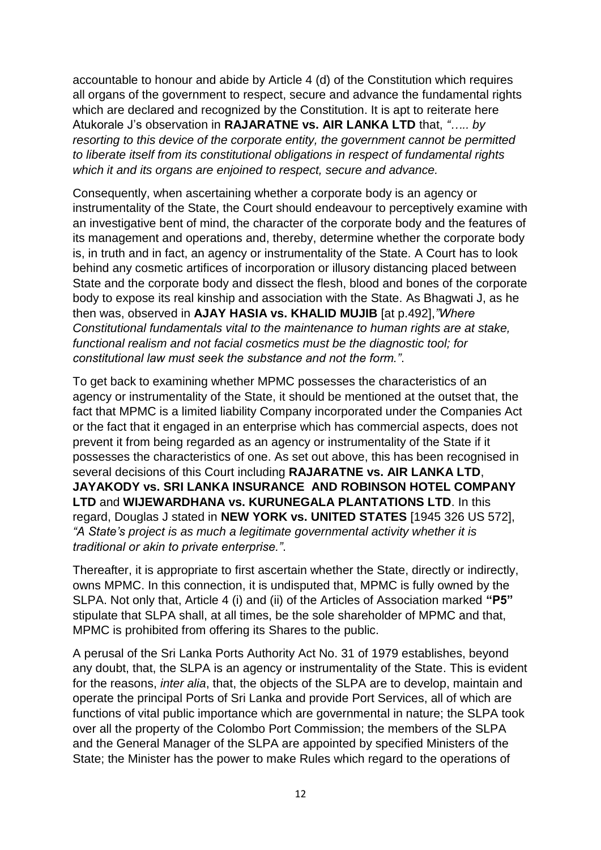accountable to honour and abide by Article 4 (d) of the Constitution which requires all organs of the government to respect, secure and advance the fundamental rights which are declared and recognized by the Constitution. It is apt to reiterate here Atukorale J"s observation in **RAJARATNE vs. AIR LANKA LTD** that, *"….. by resorting to this device of the corporate entity, the government cannot be permitted to liberate itself from its constitutional obligations in respect of fundamental rights which it and its organs are enjoined to respect, secure and advance.* 

Consequently, when ascertaining whether a corporate body is an agency or instrumentality of the State, the Court should endeavour to perceptively examine with an investigative bent of mind, the character of the corporate body and the features of its management and operations and, thereby, determine whether the corporate body is, in truth and in fact, an agency or instrumentality of the State. A Court has to look behind any cosmetic artifices of incorporation or illusory distancing placed between State and the corporate body and dissect the flesh, blood and bones of the corporate body to expose its real kinship and association with the State. As Bhagwati J, as he then was, observed in **AJAY HASIA vs. KHALID MUJIB** [at p.492],*"Where Constitutional fundamentals vital to the maintenance to human rights are at stake, functional realism and not facial cosmetics must be the diagnostic tool; for constitutional law must seek the substance and not the form."*.

To get back to examining whether MPMC possesses the characteristics of an agency or instrumentality of the State, it should be mentioned at the outset that, the fact that MPMC is a limited liability Company incorporated under the Companies Act or the fact that it engaged in an enterprise which has commercial aspects, does not prevent it from being regarded as an agency or instrumentality of the State if it possesses the characteristics of one. As set out above, this has been recognised in several decisions of this Court including **RAJARATNE vs. AIR LANKA LTD**, **JAYAKODY vs. SRI LANKA INSURANCE AND ROBINSON HOTEL COMPANY LTD** and **WIJEWARDHANA vs. KURUNEGALA PLANTATIONS LTD**. In this regard, Douglas J stated in **NEW YORK vs. UNITED STATES** [1945 326 US 572], *"A State"s project is as much a legitimate governmental activity whether it is traditional or akin to private enterprise."*.

Thereafter, it is appropriate to first ascertain whether the State, directly or indirectly, owns MPMC. In this connection, it is undisputed that, MPMC is fully owned by the SLPA. Not only that, Article 4 (i) and (ii) of the Articles of Association marked **"P5"** stipulate that SLPA shall, at all times, be the sole shareholder of MPMC and that, MPMC is prohibited from offering its Shares to the public.

A perusal of the Sri Lanka Ports Authority Act No. 31 of 1979 establishes, beyond any doubt, that, the SLPA is an agency or instrumentality of the State. This is evident for the reasons, *inter alia*, that, the objects of the SLPA are to develop, maintain and operate the principal Ports of Sri Lanka and provide Port Services, all of which are functions of vital public importance which are governmental in nature; the SLPA took over all the property of the Colombo Port Commission; the members of the SLPA and the General Manager of the SLPA are appointed by specified Ministers of the State; the Minister has the power to make Rules which regard to the operations of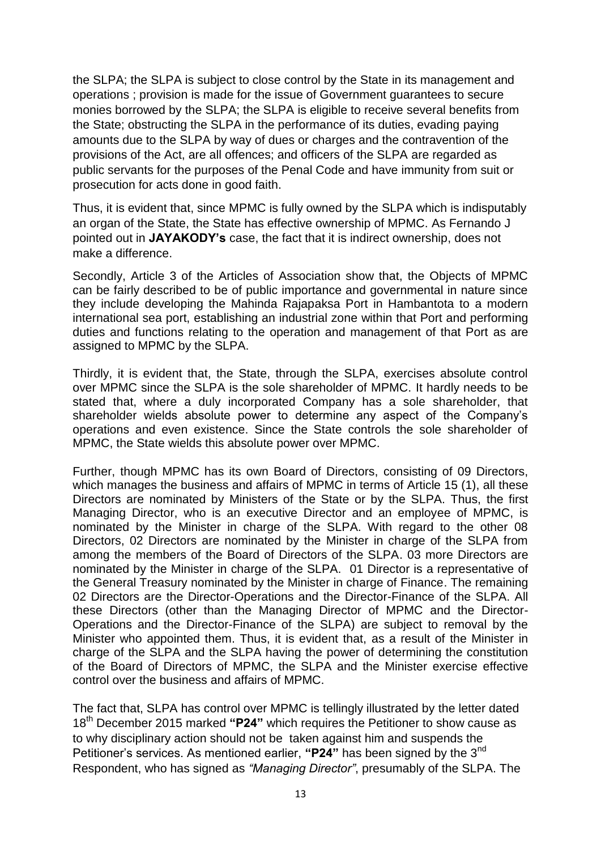the SLPA; the SLPA is subject to close control by the State in its management and operations ; provision is made for the issue of Government guarantees to secure monies borrowed by the SLPA; the SLPA is eligible to receive several benefits from the State; obstructing the SLPA in the performance of its duties, evading paying amounts due to the SLPA by way of dues or charges and the contravention of the provisions of the Act, are all offences; and officers of the SLPA are regarded as public servants for the purposes of the Penal Code and have immunity from suit or prosecution for acts done in good faith.

Thus, it is evident that, since MPMC is fully owned by the SLPA which is indisputably an organ of the State, the State has effective ownership of MPMC. As Fernando J pointed out in **JAYAKODY's** case, the fact that it is indirect ownership, does not make a difference.

Secondly, Article 3 of the Articles of Association show that, the Objects of MPMC can be fairly described to be of public importance and governmental in nature since they include developing the Mahinda Rajapaksa Port in Hambantota to a modern international sea port, establishing an industrial zone within that Port and performing duties and functions relating to the operation and management of that Port as are assigned to MPMC by the SLPA.

Thirdly, it is evident that, the State, through the SLPA, exercises absolute control over MPMC since the SLPA is the sole shareholder of MPMC. It hardly needs to be stated that, where a duly incorporated Company has a sole shareholder, that shareholder wields absolute power to determine any aspect of the Company"s operations and even existence. Since the State controls the sole shareholder of MPMC, the State wields this absolute power over MPMC.

Further, though MPMC has its own Board of Directors, consisting of 09 Directors, which manages the business and affairs of MPMC in terms of Article 15 (1), all these Directors are nominated by Ministers of the State or by the SLPA. Thus, the first Managing Director, who is an executive Director and an employee of MPMC, is nominated by the Minister in charge of the SLPA. With regard to the other 08 Directors, 02 Directors are nominated by the Minister in charge of the SLPA from among the members of the Board of Directors of the SLPA. 03 more Directors are nominated by the Minister in charge of the SLPA. 01 Director is a representative of the General Treasury nominated by the Minister in charge of Finance. The remaining 02 Directors are the Director-Operations and the Director-Finance of the SLPA. All these Directors (other than the Managing Director of MPMC and the Director-Operations and the Director-Finance of the SLPA) are subject to removal by the Minister who appointed them. Thus, it is evident that, as a result of the Minister in charge of the SLPA and the SLPA having the power of determining the constitution of the Board of Directors of MPMC, the SLPA and the Minister exercise effective control over the business and affairs of MPMC.

The fact that, SLPA has control over MPMC is tellingly illustrated by the letter dated 18th December 2015 marked **"P24"** which requires the Petitioner to show cause as to why disciplinary action should not be taken against him and suspends the Petitioner's services. As mentioned earlier, "P24" has been signed by the 3<sup>nd</sup> Respondent, who has signed as *"Managing Director"*, presumably of the SLPA. The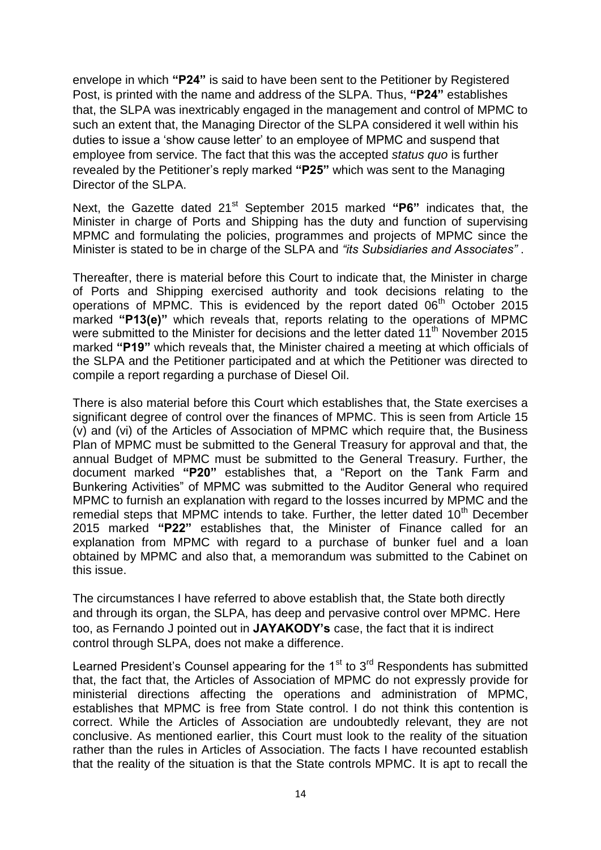envelope in which **"P24"** is said to have been sent to the Petitioner by Registered Post, is printed with the name and address of the SLPA. Thus, **"P24"** establishes that, the SLPA was inextricably engaged in the management and control of MPMC to such an extent that, the Managing Director of the SLPA considered it well within his duties to issue a "show cause letter" to an employee of MPMC and suspend that employee from service. The fact that this was the accepted *status quo* is further revealed by the Petitioner"s reply marked **"P25"** which was sent to the Managing Director of the SLPA.

Next, the Gazette dated 21<sup>st</sup> September 2015 marked "P6" indicates that, the Minister in charge of Ports and Shipping has the duty and function of supervising MPMC and formulating the policies, programmes and projects of MPMC since the Minister is stated to be in charge of the SLPA and *"its Subsidiaries and Associates"* .

Thereafter, there is material before this Court to indicate that, the Minister in charge of Ports and Shipping exercised authority and took decisions relating to the operations of MPMC. This is evidenced by the report dated 06<sup>th</sup> October 2015 marked **"P13(e)"** which reveals that, reports relating to the operations of MPMC were submitted to the Minister for decisions and the letter dated  $11<sup>th</sup>$  November 2015 marked **"P19"** which reveals that, the Minister chaired a meeting at which officials of the SLPA and the Petitioner participated and at which the Petitioner was directed to compile a report regarding a purchase of Diesel Oil.

There is also material before this Court which establishes that, the State exercises a significant degree of control over the finances of MPMC. This is seen from Article 15 (v) and (vi) of the Articles of Association of MPMC which require that, the Business Plan of MPMC must be submitted to the General Treasury for approval and that, the annual Budget of MPMC must be submitted to the General Treasury. Further, the document marked **"P20"** establishes that, a "Report on the Tank Farm and Bunkering Activities" of MPMC was submitted to the Auditor General who required MPMC to furnish an explanation with regard to the losses incurred by MPMC and the remedial steps that MPMC intends to take. Further, the letter dated  $10<sup>th</sup>$  December 2015 marked **"P22"** establishes that, the Minister of Finance called for an explanation from MPMC with regard to a purchase of bunker fuel and a loan obtained by MPMC and also that, a memorandum was submitted to the Cabinet on this issue.

The circumstances I have referred to above establish that, the State both directly and through its organ, the SLPA, has deep and pervasive control over MPMC. Here too, as Fernando J pointed out in **JAYAKODY's** case, the fact that it is indirect control through SLPA, does not make a difference.

Learned President's Counsel appearing for the  $1<sup>st</sup>$  to  $3<sup>rd</sup>$  Respondents has submitted that, the fact that, the Articles of Association of MPMC do not expressly provide for ministerial directions affecting the operations and administration of MPMC, establishes that MPMC is free from State control. I do not think this contention is correct. While the Articles of Association are undoubtedly relevant, they are not conclusive. As mentioned earlier, this Court must look to the reality of the situation rather than the rules in Articles of Association. The facts I have recounted establish that the reality of the situation is that the State controls MPMC. It is apt to recall the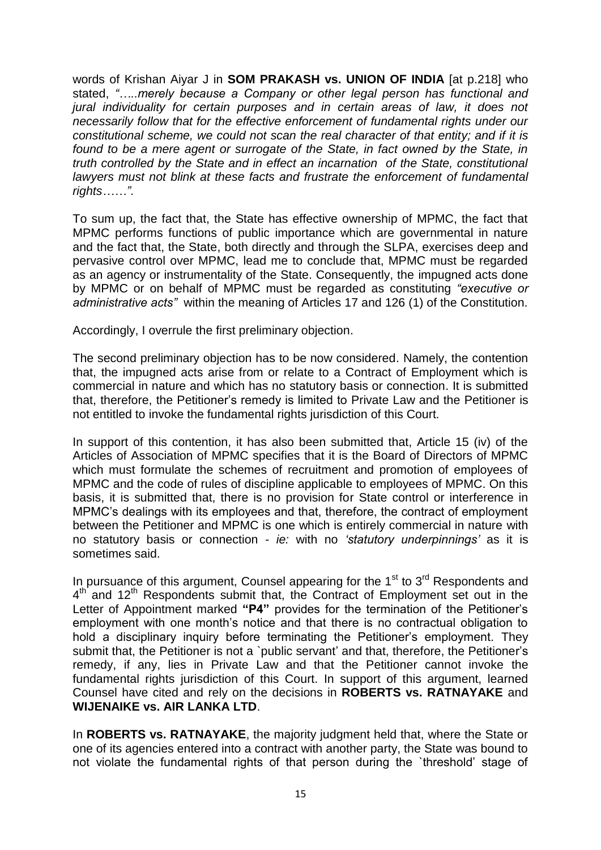words of Krishan Aiyar J in **SOM PRAKASH vs. UNION OF INDIA** [at p.218] who stated, *"…..merely because a Company or other legal person has functional and jural individuality for certain purposes and in certain areas of law, it does not necessarily follow that for the effective enforcement of fundamental rights under our constitutional scheme, we could not scan the real character of that entity; and if it is*  found to be a mere agent or surrogate of the State, in fact owned by the State, in *truth controlled by the State and in effect an incarnation of the State, constitutional lawyers must not blink at these facts and frustrate the enforcement of fundamental rights……"*.

To sum up, the fact that, the State has effective ownership of MPMC, the fact that MPMC performs functions of public importance which are governmental in nature and the fact that, the State, both directly and through the SLPA, exercises deep and pervasive control over MPMC, lead me to conclude that, MPMC must be regarded as an agency or instrumentality of the State. Consequently, the impugned acts done by MPMC or on behalf of MPMC must be regarded as constituting *"executive or administrative acts"* within the meaning of Articles 17 and 126 (1) of the Constitution.

Accordingly, I overrule the first preliminary objection.

The second preliminary objection has to be now considered. Namely, the contention that, the impugned acts arise from or relate to a Contract of Employment which is commercial in nature and which has no statutory basis or connection. It is submitted that, therefore, the Petitioner"s remedy is limited to Private Law and the Petitioner is not entitled to invoke the fundamental rights jurisdiction of this Court.

In support of this contention, it has also been submitted that, Article 15 (iv) of the Articles of Association of MPMC specifies that it is the Board of Directors of MPMC which must formulate the schemes of recruitment and promotion of employees of MPMC and the code of rules of discipline applicable to employees of MPMC. On this basis, it is submitted that, there is no provision for State control or interference in MPMC"s dealings with its employees and that, therefore, the contract of employment between the Petitioner and MPMC is one which is entirely commercial in nature with no statutory basis or connection - *ie:* with no *"statutory underpinnings"* as it is sometimes said.

In pursuance of this argument, Counsel appearing for the  $1<sup>st</sup>$  to  $3<sup>rd</sup>$  Respondents and 4<sup>th</sup> and 12<sup>th</sup> Respondents submit that, the Contract of Employment set out in the Letter of Appointment marked "P4" provides for the termination of the Petitioner's employment with one month's notice and that there is no contractual obligation to hold a disciplinary inquiry before terminating the Petitioner's employment. They submit that, the Petitioner is not a `public servant' and that, therefore, the Petitioner's remedy, if any, lies in Private Law and that the Petitioner cannot invoke the fundamental rights jurisdiction of this Court. In support of this argument, learned Counsel have cited and rely on the decisions in **ROBERTS vs. RATNAYAKE** and **WIJENAIKE vs. AIR LANKA LTD**.

In **ROBERTS vs. RATNAYAKE**, the majority judgment held that, where the State or one of its agencies entered into a contract with another party, the State was bound to not violate the fundamental rights of that person during the `threshold" stage of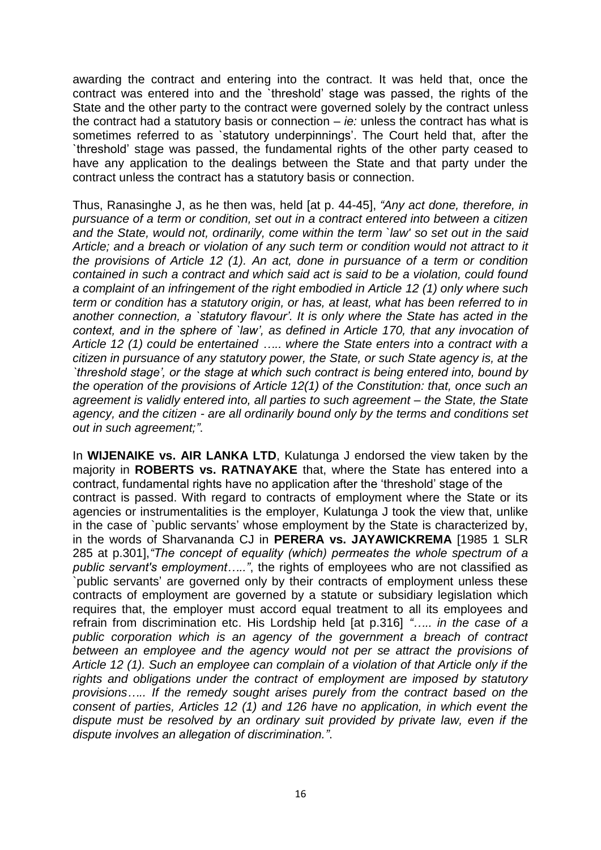awarding the contract and entering into the contract. It was held that, once the contract was entered into and the `threshold" stage was passed, the rights of the State and the other party to the contract were governed solely by the contract unless the contract had a statutory basis or connection – *ie:* unless the contract has what is sometimes referred to as 'statutory underpinnings'. The Court held that, after the `threshold" stage was passed, the fundamental rights of the other party ceased to have any application to the dealings between the State and that party under the contract unless the contract has a statutory basis or connection.

Thus, Ranasinghe J, as he then was, held [at p. 44-45], *"Any act done, therefore, in pursuance of a term or condition, set out in a contract entered into between a citizen and the State, would not, ordinarily, come within the term `law' so set out in the said Article; and a breach or violation of any such term or condition would not attract to it the provisions of Article 12 (1). An act, done in pursuance of a term or condition contained in such a contract and which said act is said to be a violation, could found a complaint of an infringement of the right embodied in Article 12 (1) only where such term or condition has a statutory origin, or has, at least, what has been referred to in another connection, a `statutory flavour". It is only where the State has acted in the context, and in the sphere of `law", as defined in Article 170, that any invocation of Article 12 (1) could be entertained ….. where the State enters into a contract with a citizen in pursuance of any statutory power, the State, or such State agency is, at the `threshold stage", or the stage at which such contract is being entered into, bound by the operation of the provisions of Article 12(1) of the Constitution: that, once such an agreement is validly entered into, all parties to such agreement – the State, the State agency, and the citizen - are all ordinarily bound only by the terms and conditions set out in such agreement;"*.

In **WIJENAIKE vs. AIR LANKA LTD**, Kulatunga J endorsed the view taken by the majority in **ROBERTS vs. RATNAYAKE** that, where the State has entered into a contract, fundamental rights have no application after the "threshold" stage of the contract is passed. With regard to contracts of employment where the State or its agencies or instrumentalities is the employer, Kulatunga J took the view that, unlike in the case of `public servants" whose employment by the State is characterized by, in the words of Sharvananda CJ in **PERERA vs. JAYAWICKREMA** [1985 1 SLR 285 at p.301],*"The concept of equality (which) permeates the whole spectrum of a public servant's employment….."*, the rights of employees who are not classified as `public servants" are governed only by their contracts of employment unless these contracts of employment are governed by a statute or subsidiary legislation which requires that, the employer must accord equal treatment to all its employees and refrain from discrimination etc. His Lordship held [at p.316] *"….. in the case of a public corporation which is an agency of the government a breach of contract between an employee and the agency would not per se attract the provisions of Article 12 (1). Such an employee can complain of a violation of that Article only if the rights and obligations under the contract of employment are imposed by statutory provisions….. If the remedy sought arises purely from the contract based on the consent of parties, Articles 12 (1) and 126 have no application, in which event the dispute must be resolved by an ordinary suit provided by private law, even if the dispute involves an allegation of discrimination."*.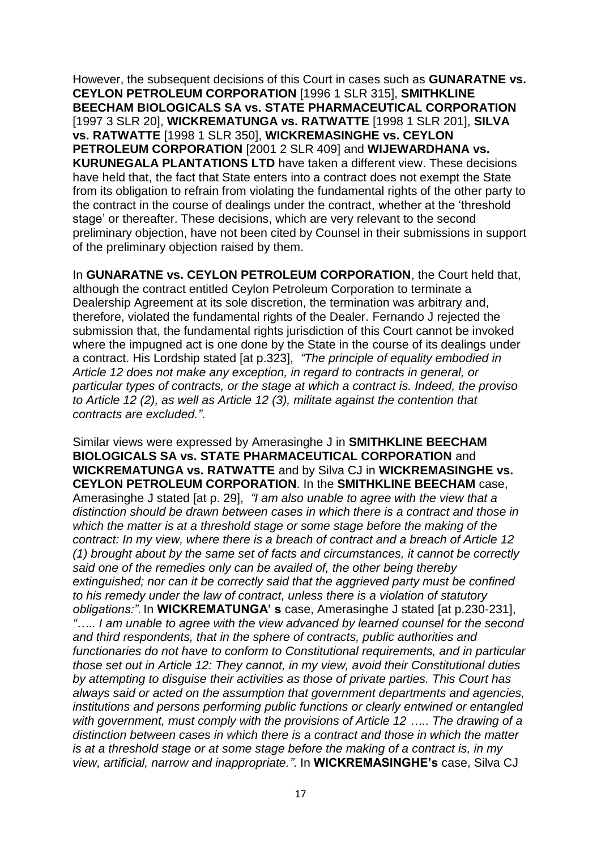However, the subsequent decisions of this Court in cases such as **GUNARATNE vs. CEYLON PETROLEUM CORPORATION** [1996 1 SLR 315], **SMITHKLINE BEECHAM BIOLOGICALS SA vs. STATE PHARMACEUTICAL CORPORATION** [1997 3 SLR 20], **WICKREMATUNGA vs. RATWATTE** [1998 1 SLR 201], **SILVA vs. RATWATTE** [1998 1 SLR 350], **WICKREMASINGHE vs. CEYLON PETROLEUM CORPORATION** [2001 2 SLR 409] and **WIJEWARDHANA vs. KURUNEGALA PLANTATIONS LTD** have taken a different view. These decisions have held that, the fact that State enters into a contract does not exempt the State from its obligation to refrain from violating the fundamental rights of the other party to the contract in the course of dealings under the contract, whether at the "threshold stage" or thereafter. These decisions, which are very relevant to the second preliminary objection, have not been cited by Counsel in their submissions in support of the preliminary objection raised by them.

In **GUNARATNE vs. CEYLON PETROLEUM CORPORATION**, the Court held that, although the contract entitled Ceylon Petroleum Corporation to terminate a Dealership Agreement at its sole discretion, the termination was arbitrary and, therefore, violated the fundamental rights of the Dealer. Fernando J rejected the submission that, the fundamental rights jurisdiction of this Court cannot be invoked where the impugned act is one done by the State in the course of its dealings under a contract. His Lordship stated [at p.323], *"The principle of equality embodied in Article 12 does not make any exception, in regard to contracts in general, or particular types of contracts, or the stage at which a contract is. Indeed, the proviso to Article 12 (2), as well as Article 12 (3), militate against the contention that contracts are excluded."*.

Similar views were expressed by Amerasinghe J in **SMITHKLINE BEECHAM BIOLOGICALS SA vs. STATE PHARMACEUTICAL CORPORATION** and **WICKREMATUNGA vs. RATWATTE** and by Silva CJ in **WICKREMASINGHE vs. CEYLON PETROLEUM CORPORATION**. In the **SMITHKLINE BEECHAM** case, Amerasinghe J stated [at p. 29], *"I am also unable to agree with the view that a distinction should be drawn between cases in which there is a contract and those in which the matter is at a threshold stage or some stage before the making of the contract: In my view, where there is a breach of contract and a breach of Article 12 (1) brought about by the same set of facts and circumstances, it cannot be correctly said one of the remedies only can be availed of, the other being thereby extinguished; nor can it be correctly said that the aggrieved party must be confined to his remedy under the law of contract, unless there is a violation of statutory obligations:"*. In **WICKREMATUNGA' s** case, Amerasinghe J stated [at p.230-231], *"….. I am unable to agree with the view advanced by learned counsel for the second and third respondents, that in the sphere of contracts, public authorities and functionaries do not have to conform to Constitutional requirements, and in particular those set out in Article 12: They cannot, in my view, avoid their Constitutional duties by attempting to disguise their activities as those of private parties. This Court has always said or acted on the assumption that government departments and agencies, institutions and persons performing public functions or clearly entwined or entangled with government, must comply with the provisions of Article 12 ….. The drawing of a distinction between cases in which there is a contract and those in which the matter is at a threshold stage or at some stage before the making of a contract is, in my view, artificial, narrow and inappropriate."*. In **WICKREMASINGHE's** case, Silva CJ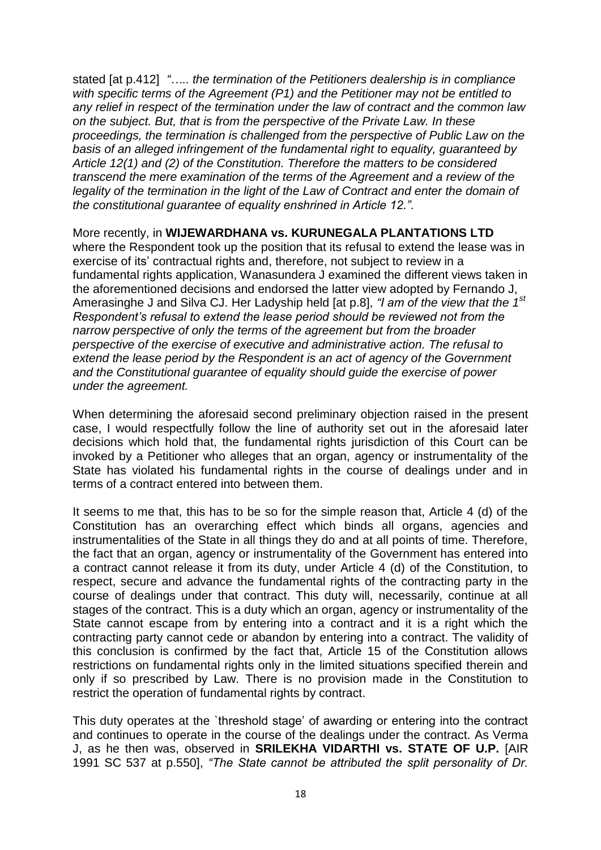stated [at p.412] *"….. the termination of the Petitioners dealership is in compliance with specific terms of the Agreement (P1) and the Petitioner may not be entitled to any relief in respect of the termination under the law of contract and the common law on the subject. But, that is from the perspective of the Private Law. In these proceedings, the termination is challenged from the perspective of Public Law on the basis of an alleged infringement of the fundamental right to equality, guaranteed by Article 12(1) and (2) of the Constitution. Therefore the matters to be considered transcend the mere examination of the terms of the Agreement and a review of the legality of the termination in the light of the Law of Contract and enter the domain of the constitutional guarantee of equality enshrined in Article 12."*.

More recently, in **WIJEWARDHANA vs. KURUNEGALA PLANTATIONS LTD** where the Respondent took up the position that its refusal to extend the lease was in exercise of its' contractual rights and, therefore, not subject to review in a fundamental rights application, Wanasundera J examined the different views taken in the aforementioned decisions and endorsed the latter view adopted by Fernando J, Amerasinghe J and Silva CJ. Her Ladyship held [at p.8], *"I am of the view that the 1st Respondent"s refusal to extend the lease period should be reviewed not from the narrow perspective of only the terms of the agreement but from the broader perspective of the exercise of executive and administrative action. The refusal to extend the lease period by the Respondent is an act of agency of the Government and the Constitutional guarantee of equality should guide the exercise of power under the agreement.*

When determining the aforesaid second preliminary objection raised in the present case, I would respectfully follow the line of authority set out in the aforesaid later decisions which hold that, the fundamental rights jurisdiction of this Court can be invoked by a Petitioner who alleges that an organ, agency or instrumentality of the State has violated his fundamental rights in the course of dealings under and in terms of a contract entered into between them.

It seems to me that, this has to be so for the simple reason that, Article 4 (d) of the Constitution has an overarching effect which binds all organs, agencies and instrumentalities of the State in all things they do and at all points of time. Therefore, the fact that an organ, agency or instrumentality of the Government has entered into a contract cannot release it from its duty, under Article 4 (d) of the Constitution, to respect, secure and advance the fundamental rights of the contracting party in the course of dealings under that contract. This duty will, necessarily, continue at all stages of the contract. This is a duty which an organ, agency or instrumentality of the State cannot escape from by entering into a contract and it is a right which the contracting party cannot cede or abandon by entering into a contract. The validity of this conclusion is confirmed by the fact that, Article 15 of the Constitution allows restrictions on fundamental rights only in the limited situations specified therein and only if so prescribed by Law. There is no provision made in the Constitution to restrict the operation of fundamental rights by contract.

This duty operates at the `threshold stage" of awarding or entering into the contract and continues to operate in the course of the dealings under the contract. As Verma J, as he then was, observed in **SRILEKHA VIDARTHI vs. STATE OF U.P.** [AIR 1991 SC 537 at p.550], *"The State cannot be attributed the split personality of Dr.*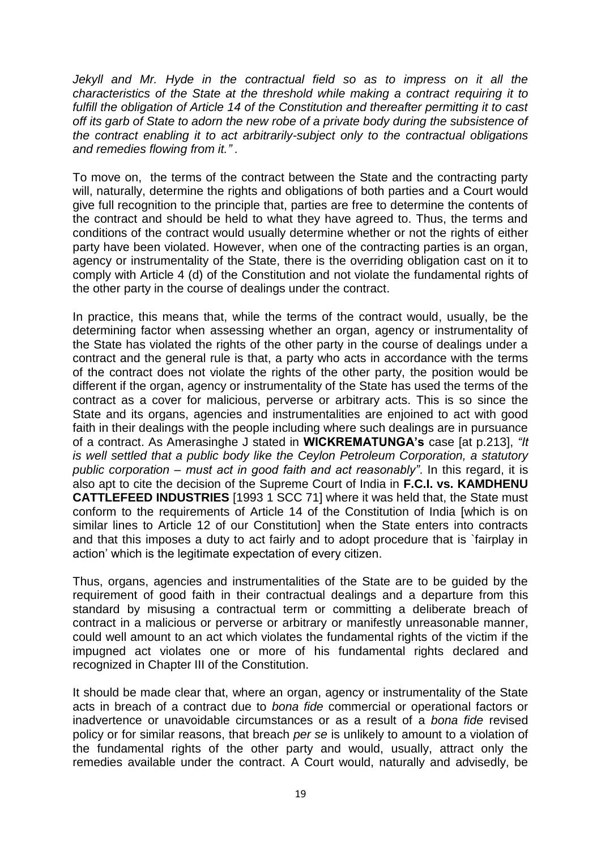Jekyll and Mr. Hyde in the contractual field so as to impress on it all the *characteristics of the State at the threshold while making a contract requiring it to fulfill the obligation of Article 14 of the Constitution and thereafter permitting it to cast off its garb of State to adorn the new robe of a private body during the subsistence of the contract enabling it to act arbitrarily-subject only to the contractual obligations and remedies flowing from it." .*

To move on, the terms of the contract between the State and the contracting party will, naturally, determine the rights and obligations of both parties and a Court would give full recognition to the principle that, parties are free to determine the contents of the contract and should be held to what they have agreed to. Thus, the terms and conditions of the contract would usually determine whether or not the rights of either party have been violated. However, when one of the contracting parties is an organ, agency or instrumentality of the State, there is the overriding obligation cast on it to comply with Article 4 (d) of the Constitution and not violate the fundamental rights of the other party in the course of dealings under the contract.

In practice, this means that, while the terms of the contract would, usually, be the determining factor when assessing whether an organ, agency or instrumentality of the State has violated the rights of the other party in the course of dealings under a contract and the general rule is that, a party who acts in accordance with the terms of the contract does not violate the rights of the other party, the position would be different if the organ, agency or instrumentality of the State has used the terms of the contract as a cover for malicious, perverse or arbitrary acts. This is so since the State and its organs, agencies and instrumentalities are enjoined to act with good faith in their dealings with the people including where such dealings are in pursuance of a contract. As Amerasinghe J stated in **WICKREMATUNGA's** case [at p.213], *"It is well settled that a public body like the Ceylon Petroleum Corporation, a statutory public corporation – must act in good faith and act reasonably"*. In this regard, it is also apt to cite the decision of the Supreme Court of India in **F.C.I. vs. KAMDHENU CATTLEFEED INDUSTRIES** [1993 1 SCC 71] where it was held that, the State must conform to the requirements of Article 14 of the Constitution of India [which is on similar lines to Article 12 of our Constitution] when the State enters into contracts and that this imposes a duty to act fairly and to adopt procedure that is `fairplay in action" which is the legitimate expectation of every citizen.

Thus, organs, agencies and instrumentalities of the State are to be guided by the requirement of good faith in their contractual dealings and a departure from this standard by misusing a contractual term or committing a deliberate breach of contract in a malicious or perverse or arbitrary or manifestly unreasonable manner, could well amount to an act which violates the fundamental rights of the victim if the impugned act violates one or more of his fundamental rights declared and recognized in Chapter III of the Constitution.

It should be made clear that, where an organ, agency or instrumentality of the State acts in breach of a contract due to *bona fide* commercial or operational factors or inadvertence or unavoidable circumstances or as a result of a *bona fide* revised policy or for similar reasons, that breach *per se* is unlikely to amount to a violation of the fundamental rights of the other party and would, usually, attract only the remedies available under the contract. A Court would, naturally and advisedly, be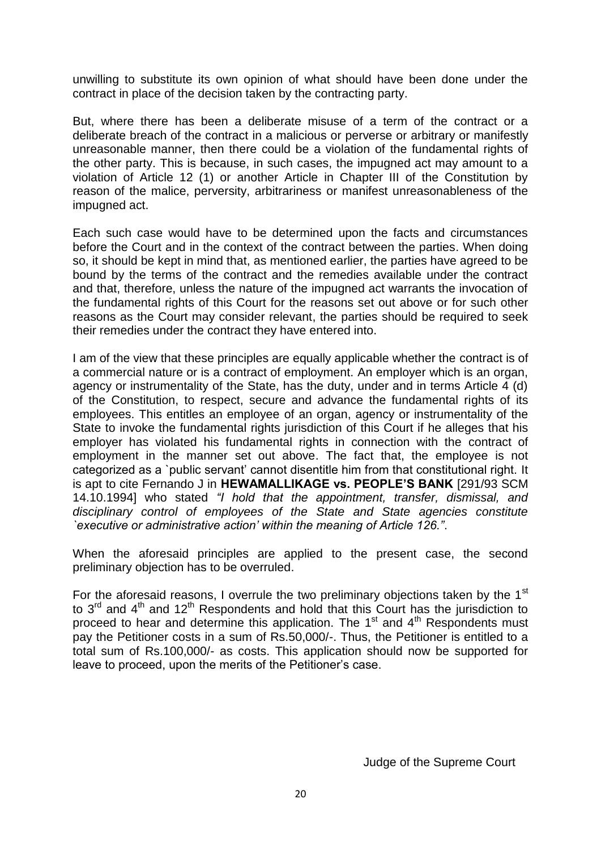unwilling to substitute its own opinion of what should have been done under the contract in place of the decision taken by the contracting party.

But, where there has been a deliberate misuse of a term of the contract or a deliberate breach of the contract in a malicious or perverse or arbitrary or manifestly unreasonable manner, then there could be a violation of the fundamental rights of the other party. This is because, in such cases, the impugned act may amount to a violation of Article 12 (1) or another Article in Chapter III of the Constitution by reason of the malice, perversity, arbitrariness or manifest unreasonableness of the impugned act.

Each such case would have to be determined upon the facts and circumstances before the Court and in the context of the contract between the parties. When doing so, it should be kept in mind that, as mentioned earlier, the parties have agreed to be bound by the terms of the contract and the remedies available under the contract and that, therefore, unless the nature of the impugned act warrants the invocation of the fundamental rights of this Court for the reasons set out above or for such other reasons as the Court may consider relevant, the parties should be required to seek their remedies under the contract they have entered into.

I am of the view that these principles are equally applicable whether the contract is of a commercial nature or is a contract of employment. An employer which is an organ, agency or instrumentality of the State, has the duty, under and in terms Article 4 (d) of the Constitution, to respect, secure and advance the fundamental rights of its employees. This entitles an employee of an organ, agency or instrumentality of the State to invoke the fundamental rights jurisdiction of this Court if he alleges that his employer has violated his fundamental rights in connection with the contract of employment in the manner set out above. The fact that, the employee is not categorized as a `public servant" cannot disentitle him from that constitutional right. It is apt to cite Fernando J in **HEWAMALLIKAGE vs. PEOPLE'S BANK** [291/93 SCM 14.10.1994] who stated *"I hold that the appointment, transfer, dismissal, and disciplinary control of employees of the State and State agencies constitute `executive or administrative action" within the meaning of Article 126."*.

When the aforesaid principles are applied to the present case, the second preliminary objection has to be overruled.

For the aforesaid reasons, I overrule the two preliminary objections taken by the  $1<sup>st</sup>$ to  $3<sup>rd</sup>$  and  $4<sup>th</sup>$  and  $12<sup>th</sup>$  Respondents and hold that this Court has the jurisdiction to proceed to hear and determine this application. The  $1<sup>st</sup>$  and  $4<sup>th</sup>$  Respondents must pay the Petitioner costs in a sum of Rs.50,000/-. Thus, the Petitioner is entitled to a total sum of Rs.100,000/- as costs. This application should now be supported for leave to proceed, upon the merits of the Petitioner"s case.